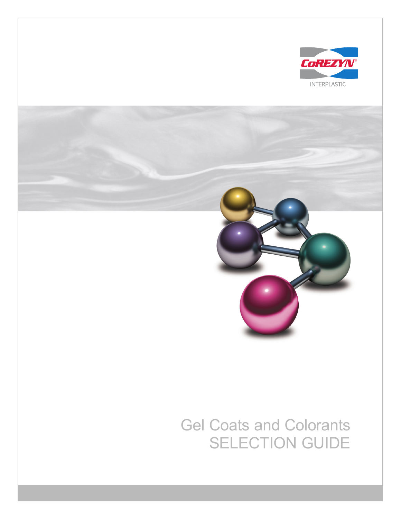

## Gel Coats and Colorants SELECTION GUIDE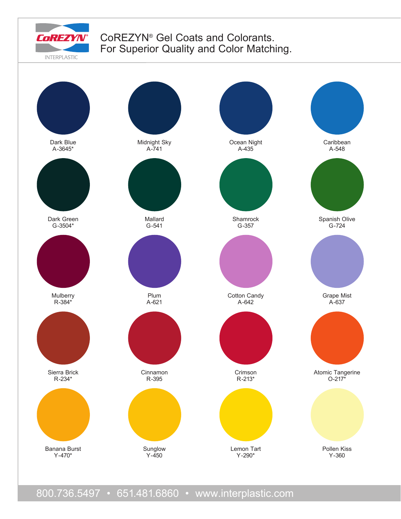

## CoREZYN® Gel Coats and Colorants. For Superior Quality and Color Matching.

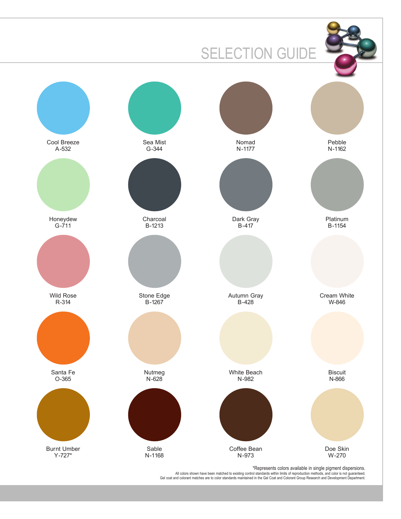

All colors shown have been matched to existing control standards within limits of reproduction methods, and color is not guaranteed.<br>Gel coat and colorant matches are to color standards maintained in the Gel Coat and Color